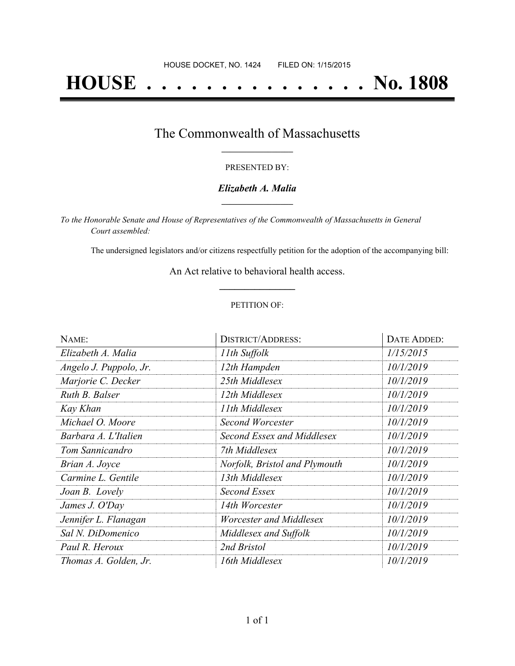# **HOUSE . . . . . . . . . . . . . . . No. 1808**

### The Commonwealth of Massachusetts **\_\_\_\_\_\_\_\_\_\_\_\_\_\_\_\_\_**

#### PRESENTED BY:

#### *Elizabeth A. Malia* **\_\_\_\_\_\_\_\_\_\_\_\_\_\_\_\_\_**

*To the Honorable Senate and House of Representatives of the Commonwealth of Massachusetts in General Court assembled:*

The undersigned legislators and/or citizens respectfully petition for the adoption of the accompanying bill:

An Act relative to behavioral health access. **\_\_\_\_\_\_\_\_\_\_\_\_\_\_\_**

#### PETITION OF:

| NAME:                  | <b>DISTRICT/ADDRESS:</b>      | <b>DATE ADDED:</b> |
|------------------------|-------------------------------|--------------------|
| Elizabeth A. Malia     | 11th Suffolk                  | 1/15/2015          |
| Angelo J. Puppolo, Jr. | 12th Hampden                  | 10/1/2019          |
| Marjorie C. Decker     | 25th Middlesex                | 10/1/2019          |
| Ruth B. Balser         | 12th Middlesex                | 10/1/2019          |
| Kay Khan               | 11th Middlesex                | 10/1/2019          |
| Michael O. Moore       | <b>Second Worcester</b>       | 10/1/2019          |
| Barbara A. L'Italien   | Second Essex and Middlesex    | 10/1/2019          |
| Tom Sannicandro        | 7th Middlesex                 | 10/1/2019          |
| Brian A. Joyce         | Norfolk, Bristol and Plymouth | 10/1/2019          |
| Carmine L. Gentile     | 13th Middlesex                | 10/1/2019          |
| Joan B. Lovely         | Second Essex                  | 10/1/2019          |
| James J. O'Day         | 14th Worcester                | 10/1/2019          |
| Jennifer L. Flanagan   | Worcester and Middlesex       | 10/1/2019          |
| Sal N. DiDomenico      | Middlesex and Suffolk         | 10/1/2019          |
| Paul R. Heroux         | 2nd Bristol                   | 10/1/2019          |
| Thomas A. Golden, Jr.  | 16th Middlesex                | 10/1/2019          |